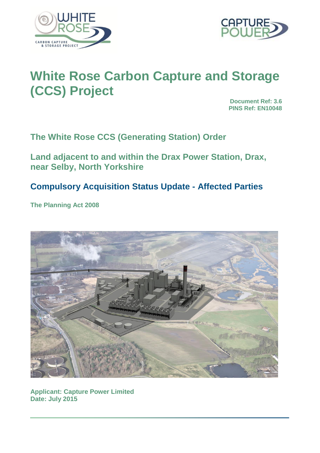



# **White Rose Carbon Capture and Storage (CCS) Project**

**Document Ref: 3.6 PINS Ref: EN10048**

**The White Rose CCS (Generating Station) Order**

**Land adjacent to and within the Drax Power Station, Drax, near Selby, North Yorkshire**

## **Compulsory Acquisition Status Update - Affected Parties**

**The Planning Act 2008**



**Applicant: Capture Power Limited Date: July 2015**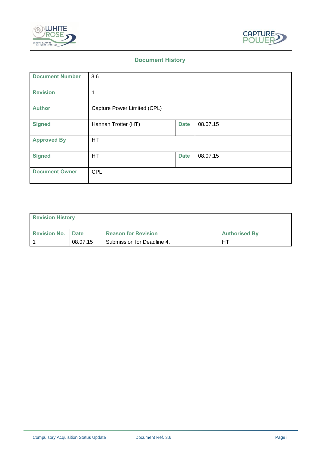



## **Document History**

| <b>Document Number</b> | 3.6                         |             |          |
|------------------------|-----------------------------|-------------|----------|
| <b>Revision</b>        | 1                           |             |          |
| <b>Author</b>          | Capture Power Limited (CPL) |             |          |
| <b>Signed</b>          | Hannah Trotter (HT)         | <b>Date</b> | 08.07.15 |
| <b>Approved By</b>     | <b>HT</b>                   |             |          |
| <b>Signed</b>          | HT                          | <b>Date</b> | 08.07.15 |
| <b>Document Owner</b>  | <b>CPL</b>                  |             |          |

| <b>Revision History</b>    |          |                            |                      |  |  |  |
|----------------------------|----------|----------------------------|----------------------|--|--|--|
| <b>Revision No.   Date</b> |          | <b>Reason for Revision</b> | <b>Authorised By</b> |  |  |  |
|                            | 08.07.15 | Submission for Deadline 4. | HT                   |  |  |  |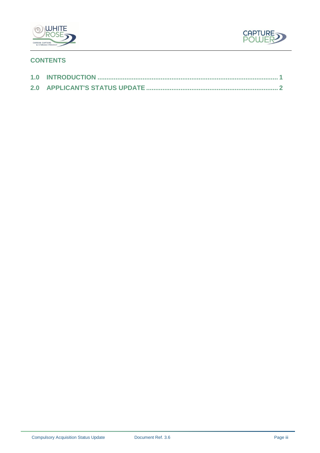



## **CONTENTS**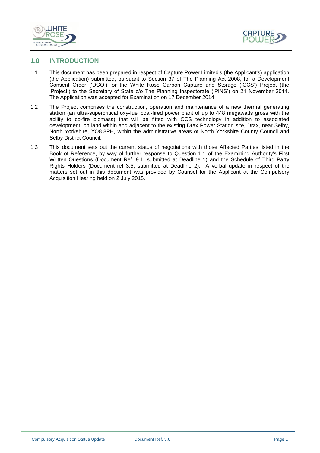



#### <span id="page-3-0"></span>**1.0 INTRODUCTION**

- 1.1 This document has been prepared in respect of Capture Power Limited's (the Applicant's) application (the Application) submitted, pursuant to Section 37 of The Planning Act 2008, for a Development Consent Order ('DCO') for the White Rose Carbon Capture and Storage ('CCS') Project (the 'Project') to the Secretary of State c/o The Planning Inspectorate ('PINS') on 21 November 2014. The Application was accepted for Examination on 17 December 2014.
- 1.2 The Project comprises the construction, operation and maintenance of a new thermal generating station (an ultra-supercritical oxy-fuel coal-fired power plant of up to 448 megawatts gross with the ability to co-fire biomass) that will be fitted with CCS technology in addition to associated development, on land within and adjacent to the existing Drax Power Station site, Drax, near Selby, North Yorkshire, YO8 8PH, within the administrative areas of North Yorkshire County Council and Selby District Council.
- 1.3 This document sets out the current status of negotiations with those Affected Parties listed in the Book of Reference, by way of further response to Question 1.1 of the Examining Authority's First Written Questions (Document Ref. 9.1, submitted at Deadline 1) and the Schedule of Third Party Rights Holders (Document ref 3.5, submitted at Deadline 2). A verbal update in respect of the matters set out in this document was provided by Counsel for the Applicant at the Compulsory Acquisition Hearing held on 2 July 2015.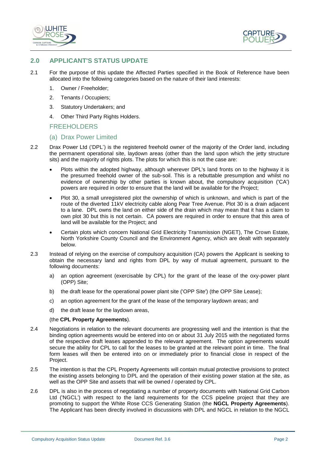



#### <span id="page-4-0"></span>**2.0 APPLICANT'S STATUS UPDATE**

- 2.1 For the purpose of this update the Affected Parties specified in the Book of Reference have been allocated into the following categories based on the nature of their land interests:
	- 1. Owner / Freeholder;
	- 2. Tenants / Occupiers;
	- 3. Statutory Undertakers; and
	- 4. Other Third Party Rights Holders.

#### FREEHOLDERS

#### (a) Drax Power Limited

- 2.2 Drax Power Ltd ('DPL') is the registered freehold owner of the majority of the Order land, including the permanent operational site, laydown areas (other than the land upon which the jetty structure sits) and the majority of rights plots. The plots for which this is not the case are:
	- Plots within the adopted highway, although wherever DPL's land fronts on to the highway it is the presumed freehold owner of the sub-soil. This is a rebuttable presumption and whilst no evidence of ownership by other parties is known about, the compulsory acquisition ('CA') powers are required in order to ensure that the land will be available for the Project;
	- Plot 30, a small unregistered plot the ownership of which is unknown, and which is part of the route of the diverted 11kV electricity cable along Pear Tree Avenue. Plot 30 is a drain adjacent to a lane. DPL owns the land on either side of the drain which may mean that it has a claim to own plot 30 but this is not certain. CA powers are required in order to ensure that this area of land will be available for the Project; and
	- Certain plots which concern National Grid Electricity Transmission (NGET), The Crown Estate, North Yorkshire County Council and the Environment Agency, which are dealt with separately below.
- 2.3 Instead of relying on the exercise of compulsory acquisition (CA) powers the Applicant is seeking to obtain the necessary land and rights from DPL by way of mutual agreement, pursuant to the following documents:
	- a) an option agreement (exercisable by CPL) for the grant of the lease of the oxy-power plant (OPP) Site;
	- b) the draft lease for the operational power plant site ('OPP Site') (the OPP Site Lease);
	- c) an option agreement for the grant of the lease of the temporary laydown areas; and
	- d) the draft lease for the laydown areas,

#### (the **CPL Property Agreements**).

- 2.4 Negotiations in relation to the relevant documents are progressing well and the intention is that the binding option agreements would be entered into on or about 31 July 2015 with the negotiated forms of the respective draft leases appended to the relevant agreement. The option agreements would secure the ability for CPL to call for the leases to be granted at the relevant point in time. The final form leases will then be entered into on or immediately prior to financial close in respect of the Project.
- 2.5 The intention is that the CPL Property Agreements will contain mutual protective provisions to protect the existing assets belonging to DPL and the operation of their existing power station at the site, as well as the OPP Site and assets that will be owned / operated by CPL.
- 2.6 DPL is also in the process of negotiating a number of property documents with National Grid Carbon Ltd ('NGCL') with respect to the land requirements for the CCS pipeline project that they are promoting to support the White Rose CCS Generating Station (the **NGCL Property Agreements**). The Applicant has been directly involved in discussions with DPL and NGCL in relation to the NGCL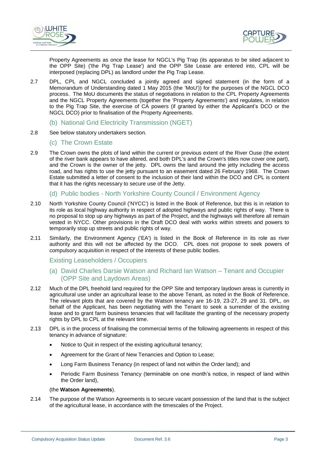



Property Agreements as once the lease for NGCL's Pig Trap (its apparatus to be sited adjacent to the OPP Site) ('the Pig Trap Lease') and the OPP Site Lease are entered into, CPL will be interposed (replacing DPL) as landlord under the Pig Trap Lease.

- 2.7 DPL, CPL and NGCL concluded a jointly agreed and signed statement (in the form of a Memorandum of Understanding dated 1 May 2015 (the 'MoU')) for the purposes of the NGCL DCO process. The MoU documents the status of negotiations in relation to the CPL Property Agreements and the NGCL Property Agreements (together the 'Property Agreements') and regulates, in relation to the Pig Trap Site, the exercise of CA powers (if granted by either the Applicant's DCO or the NGCL DCO) prior to finalisation of the Property Agreements.
	- (b) National Grid Electricity Transmission (NGET)
- 2.8 See below statutory undertakers section.
	- (c) The Crown Estate
- 2.9 The Crown owns the plots of land within the current or previous extent of the River Ouse (the extent of the river bank appears to have altered, and both DPL's and the Crown's titles now cover one part), and the Crown is the owner of the jetty. DPL owns the land around the jetty including the access road, and has rights to use the jetty pursuant to an easement dated 26 February 1968. The Crown Estate submitted a letter of consent to the inclusion of their land within the DCO and CPL is content that it has the rights necessary to secure use of the Jetty.
	- (d) Public bodies North Yorkshire County Council / Environment Agency
- 2.10 North Yorkshire County Council ('NYCC') is listed in the Book of Reference, but this is in relation to its role as local highway authority in respect of adopted highways and public rights of way. There is no proposal to stop up any highways as part of the Project, and the highways will therefore all remain vested in NYCC. Other provisions in the Draft DCO deal with works within streets and powers to temporarily stop up streets and public rights of way.
- 2.11 Similarly, the Environment Agency ('EA') is listed in the Book of Reference in its role as river authority and this will not be affected by the DCO. CPL does not propose to seek powers of compulsory acquisition in respect of the interests of these public bodies.

#### Existing Leaseholders / Occupiers

- (a) David Charles Darsie Watson and Richard Ian Watson Tenant and Occupier (OPP Site and Laydown Areas)
- 2.12 Much of the DPL freehold land required for the OPP Site and temporary laydown areas is currently in agricultural use under an agricultural lease to the above Tenant, as noted in the Book of Reference. The relevant plots that are covered by the Watson tenancy are 16-19, 23-27, 29 and 31. DPL, on behalf of the Applicant, has been negotiating with the Tenant to seek a surrender of the existing lease and to grant farm business tenancies that will facilitate the granting of the necessary property rights by DPL to CPL at the relevant time.
- 2.13 DPL is in the process of finalising the commercial terms of the following agreements in respect of this tenancy in advance of signature:
	- Notice to Quit in respect of the existing agricultural tenancy;
	- Agreement for the Grant of New Tenancies and Option to Lease;
	- Long Farm Business Tenancy (in respect of land not within the Order land); and
	- Periodic Farm Business Tenancy (terminable on one month's notice, in respect of land within the Order land),

#### (the **Watson Agreements**).

2.14 The purpose of the Watson Agreements is to secure vacant possession of the land that is the subject of the agricultural lease, in accordance with the timescales of the Project.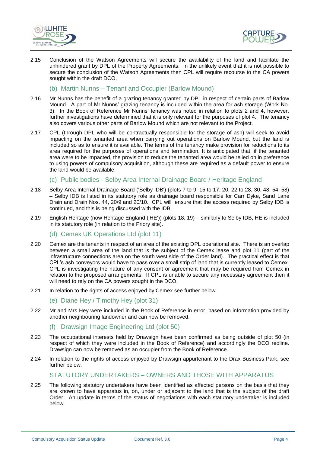



2.15 Conclusion of the Watson Agreements will secure the availability of the land and facilitate the unhindered grant by DPL of the Property Agreements. In the unlikely event that it is not possible to secure the conclusion of the Watson Agreements then CPL will require recourse to the CA powers sought within the draft DCO.

(b) Martin Nunns – Tenant and Occupier (Barlow Mound)

- 2.16 Mr Nunns has the benefit of a grazing tenancy granted by DPL in respect of certain parts of Barlow Mound. A part of Mr Nunns' grazing tenancy is included within the area for ash storage (Work No. 3). In the Book of Reference Mr Nunns' tenancy was noted in relation to plots 2 and 4, however, further investigations have determined that it is only relevant for the purposes of plot 4. The tenancy also covers various other parts of Barlow Mound which are not relevant to the Project.
- 2.17 CPL (through DPL who will be contractually responsible for the storage of ash) will seek to avoid impacting on the tenanted area when carrying out operations on Barlow Mound, but the land is included so as to ensure it is available. The terms of the tenancy make provision for reductions to its area required for the purposes of operations and termination. It is anticipated that, if the tenanted area were to be impacted, the provision to reduce the tenanted area would be relied on in preference to using powers of compulsory acquisition, although these are required as a default power to ensure the land would be available.
	- (c) Public bodies Selby Area Internal Drainage Board / Heritage England
- 2.18 Selby Area Internal Drainage Board ('Selby IDB') (plots 7 to 9, 15 to 17, 20, 22 to 28, 30, 48, 54, 58) – Selby IDB is listed in its statutory role as drainage board responsible for Carr Dyke, Sand Lane Drain and Drain Nos. 44, 20/9 and 20/10. CPL will ensure that the access required by Selby IDB is continued, and this is being discussed with the IDB.
- 2.19 English Heritage (now Heritage England ('HE')) (plots 18, 19) similarly to Selby IDB, HE is included in its statutory role (in relation to the Priory site).
	- (d) Cemex UK Operations Ltd (plot 11)
- 2.20 Cemex are the tenants in respect of an area of the existing DPL operational site. There is an overlap between a small area of the land that is the subject of the Cemex lease and plot 11 (part of the infrastructure connections area on the south west side of the Order land). The practical effect is that CPL's ash conveyors would have to pass over a small strip of land that is currently leased to Cemex. CPL is investigating the nature of any consent or agreement that may be required from Cemex in relation to the proposed arrangements. If CPL is unable to secure any necessary agreement then it will need to rely on the CA powers sought in the DCO.
- 2.21 In relation to the rights of access enjoyed by Cemex see further below.
	- (e) Diane Hey / Timothy Hey (plot 31)
- 2.22 Mr and Mrs Hey were included in the Book of Reference in error, based on information provided by another neighbouring landowner and can now be removed.
	- (f) Drawsign Image Engineering Ltd (plot 50)
- 2.23 The occupational interests held by Drawsign have been confirmed as being outside of plot 50 (in respect of which they were included in the Book of Reference) and accordingly the DCO redline. Drawsign can now be removed as an occupier from the Book of Reference.
- 2.24 In relation to the rights of access enjoyed by Drawsign appurtenant to the Drax Business Park, see further below.

#### STATUTORY UNDERTAKERS – OWNERS AND THOSE WITH APPARATUS

2.25 The following statutory undertakers have been identified as affected persons on the basis that they are known to have apparatus in, on, under or adjacent to the land that is the subject of the draft Order. An update in terms of the status of negotiations with each statutory undertaker is included below.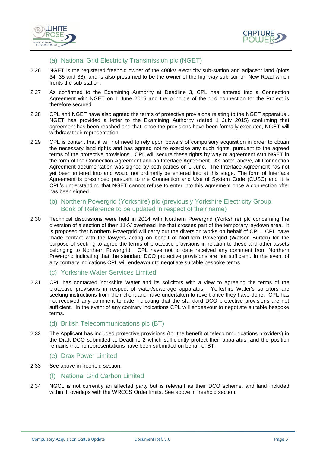



#### (a) National Grid Electricity Transmission plc (NGET)

- 2.26 NGET is the registered freehold owner of the 400kV electricity sub-station and adjacent land (plots 34, 35 and 38), and is also presumed to be the owner of the highway sub-soil on New Road which fronts the sub-station.
- 2.27 As confirmed to the Examining Authority at Deadline 3, CPL has entered into a Connection Agreement with NGET on 1 June 2015 and the principle of the grid connection for the Project is therefore secured.
- 2.28 CPL and NGET have also agreed the terms of protective provisions relating to the NGET apparatus . NGET has provided a letter to the Examining Authority (dated 1 July 2015) confirming that agreement has been reached and that, once the provisions have been formally executed, NGET will withdraw their representation.
- 2.29 CPL is content that it will not need to rely upon powers of compulsory acquisition in order to obtain the necessary land rights and has agreed not to exercise any such rights, pursuant to the agreed terms of the protective provisions. CPL will secure these rights by way of agreement with NGET in the form of the Connection Agreement and an Interface Agreement. As noted above, all Connection Agreement documentation was signed by both parties on 1 June. The Interface Agreement has not yet been entered into and would not ordinarily be entered into at this stage. The form of Interface Agreement is prescribed pursuant to the Connection and Use of System Code (CUSC) and it is CPL's understanding that NGET cannot refuse to enter into this agreement once a connection offer has been signed.
	- (b) Northern Powergrid (Yorkshire) plc (previously Yorkshire Electricity Group, Book of Reference to be updated in respect of their name)
- 2.30 Technical discussions were held in 2014 with Northern Powergrid (Yorkshire) plc concerning the diversion of a section of their 11kV overhead line that crosses part of the temporary laydown area. It is proposed that Northern Powergrid will carry out the diversion works on behalf of CPL. CPL have made contact with the lawyers acting on behalf of Northern Powergrid (Watson Burton) for the purpose of seeking to agree the terms of protective provisions in relation to these and other assets belonging to Northern Powergrid. CPL have not to date received any comment from Northern Powergrid indicating that the standard DCO protective provisions are not sufficient. In the event of any contrary indications CPL will endeavour to negotiate suitable bespoke terms.
	- (c) Yorkshire Water Services Limited
- 2.31 CPL has contacted Yorkshire Water and its solicitors with a view to agreeing the terms of the protective provisions in respect of water/sewerage apparatus. Yorkshire Water's solicitors are seeking instructions from their client and have undertaken to revert once they have done. CPL has not received any comment to date indicating that the standard DCO protective provisions are not sufficient. In the event of any contrary indications CPL will endeavour to negotiate suitable bespoke terms.
	- (d) British Telecommunications plc (BT)
- 2.32 The Applicant has included protective provisions (for the benefit of telecommunications providers) in the Draft DCO submitted at Deadline 2 which sufficiently protect their apparatus, and the position remains that no representations have been submitted on behalf of BT.
	- (e) Drax Power Limited
- 2.33 See above in freehold section.
	- (f) National Grid Carbon Limited
- 2.34 NGCL is not currently an affected party but is relevant as their DCO scheme, and land included within it, overlaps with the WRCCS Order limits. See above in freehold section.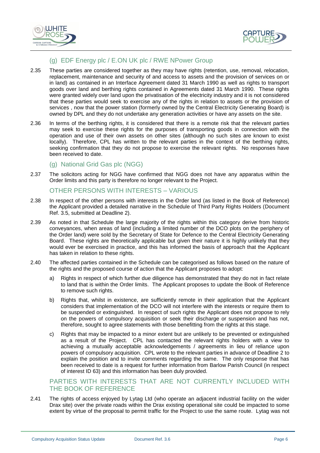



### (g) EDF Energy plc / E.ON UK plc / RWE NPower Group

- 2.35 These parties are considered together as they may have rights (retention, use, removal, relocation, replacement, maintenance and security of and access to assets and the provision of services on or in land) as contained in an Interface Agreement dated 31 March 1990 as well as rights to transport goods over land and berthing rights contained in Agreements dated 31 March 1990. These rights were granted widely over land upon the privatisation of the electricity industry and it is not considered that these parties would seek to exercise any of the rights in relation to assets or the provision of services , now that the power station (formerly owned by the Central Electricity Generating Board) is owned by DPL and they do not undertake any generation activities or have any assets on the site.
- 2.36 In terms of the berthing rights, it is considered that there is a remote risk that the relevant parties may seek to exercise these rights for the purposes of transporting goods in connection with the operation and use of their own assets on other sites (although no such sites are known to exist locally). Therefore, CPL has written to the relevant parties in the context of the berthing rights, seeking confirmation that they do not propose to exercise the relevant rights. No responses have been received to date.

#### (g) National Grid Gas plc (NGG)

2.37 The solicitors acting for NGG have confirmed that NGG does not have any apparatus within the Order limits and this party is therefore no longer relevant to the Project.

#### OTHER PERSONS WITH INTERESTS – VARIOUS

- 2.38 In respect of the other persons with interests in the Order land (as listed in the Book of Reference) the Applicant provided a detailed narrative in the Schedule of Third Party Rights Holders (Document Ref. 3.5, submitted at Deadline 2).
- 2.39 As noted in that Schedule the large majority of the rights within this category derive from historic conveyances, when areas of land (including a limited number of the DCO plots on the periphery of the Order land) were sold by the Secretary of State for Defence to the Central Electricity Generating Board. These rights are theoretically applicable but given their nature it is highly unlikely that they would ever be exercised in practice, and this has informed the basis of approach that the Applicant has taken in relation to these rights.
- 2.40 The affected parties contained in the Schedule can be categorised as follows based on the nature of the rights and the proposed course of action that the Applicant proposes to adopt:
	- a) Rights in respect of which further due diligence has demonstrated that they do not in fact relate to land that is within the Order limits. The Applicant proposes to update the Book of Reference to remove such rights.
	- b) Rights that, whilst in existence, are sufficiently remote in their application that the Applicant considers that implementation of the DCO will not interfere with the interests or require them to be suspended or extinguished. In respect of such rights the Applicant does not propose to rely on the powers of compulsory acquisition or seek their discharge or suspension and has not, therefore, sought to agree statements with those benefitting from the rights at this stage.
	- c) Rights that may be impacted to a minor extent but are unlikely to be prevented or extinguished as a result of the Project. CPL has contacted the relevant rights holders with a view to achieving a mutually acceptable acknowledgements / agreements in lieu of reliance upon powers of compulsory acquisition. CPL wrote to the relevant parties in advance of Deadline 2 to explain the position and to invite comments regarding the same. The only response that has been received to date is a request for further information from Barlow Parish Council (in respect of interest ID 63) and this information has been duly provided.

#### PARTIES WITH INTERESTS THAT ARE NOT CURRENTLY INCLUDED WITH THE BOOK OF REFERENCE

2.41 The rights of access enjoyed by Lytag Ltd (who operate an adjacent industrial facility on the wider Drax site) over the private roads within the Drax existing operational site could be impacted to some extent by virtue of the proposal to permit traffic for the Project to use the same route. Lytag was not